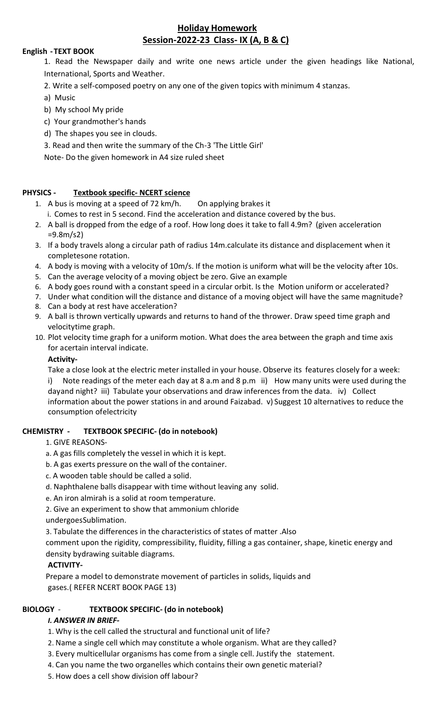# **Holiday Homework Session-2022-23 Class- IX (A, B & C)**

### **English - TEXT BOOK**

- 1. Read the Newspaper daily and write one news article under the given headings like National, International, Sports and Weather.
- 2. Write a self-composed poetry on any one of the given topics with minimum 4 stanzas.
- a) Music
- b) My school My pride
- c) Your grandmother's hands
- d) The shapes you see in clouds.
- 3. Read and then write the summary of the Ch-3 'The Little Girl'

Note- Do the given homework in A4 size ruled sheet

#### **PHYSICS - Textbook specific- NCERT science**

- 1. A bus is moving at a speed of 72 km/h. On applying brakes it
	- i. Comes to rest in 5 second. Find the acceleration and distance covered by the bus.
- 2. A ball is dropped from the edge of a roof. How long does it take to fall 4.9m? (given acceleration =9.8m/s2)
- 3. If a body travels along a circular path of radius 14m.calculate its distance and displacement when it completesone rotation.
- 4. A body is moving with a velocity of 10m/s. If the motion is uniform what will be the velocity after 10s.
- 5. Can the average velocity of a moving object be zero. Give an example
- 6. A body goes round with a constant speed in a circular orbit. Is the Motion uniform or accelerated?
- 7. Under what condition will the distance and distance of a moving object will have the same magnitude?
- 8. Can a body at rest have acceleration?
- 9. A ball is thrown vertically upwards and returns to hand of the thrower. Draw speed time graph and velocitytime graph.
- 10. Plot velocity time graph for a uniform motion. What does the area between the graph and time axis for acertain interval indicate.

#### **Activity-**

Take a close look at the electric meter installed in your house. Observe its features closely for a week: i) Note readings of the meter each day at 8 a.m and 8 p.m ii) How many units were used during the dayand night? iii) Tabulate your observations and draw inferences from the data. iv) Collect information about the power stations in and around Faizabad. v) Suggest 10 alternatives to reduce the consumption ofelectricity

#### **CHEMISTRY - TEXTBOOK SPECIFIC- (do in notebook)**

#### 1. GIVE REASONS-

- a. A gas fills completely the vessel in which it is kept.
- b. A gas exerts pressure on the wall of the container.
- c. A wooden table should be called a solid.
- d. Naphthalene balls disappear with time without leaving any solid.
- e. An iron almirah is a solid at room temperature.
- 2. Give an experiment to show that ammonium chloride
- undergoesSublimation.
- 3. Tabulate the differences in the characteristics of states of matter .Also

comment upon the rigidity, compressibility, fluidity, filling a gas container, shape, kinetic energy and density bydrawing suitable diagrams.

## **ACTIVITY-**

Prepare a model to demonstrate movement of particles in solids, liquids and gases.( REFER NCERT BOOK PAGE 13)

#### **BIOLOGY** - **TEXTBOOK SPECIFIC- (do in notebook)**

#### *I. ANSWER IN BRIEF-*

- 1. Why is the cell called the structural and functional unit of life?
- 2. Name a single cell which may constitute a whole organism. What are they called?
- 3. Every multicellular organisms has come from a single cell. Justify the statement.
- 4. Can you name the two organelles which contains their own genetic material?
- 5. How does a cell show division off labour?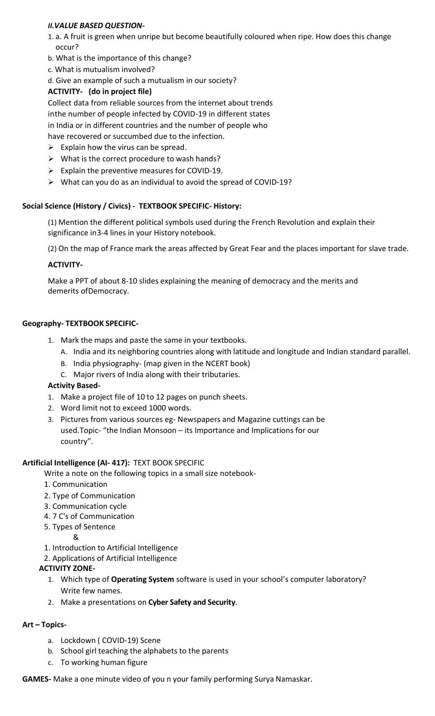## *II.VALUE BASED QUESTION-*

- 1. a. A fruit is green when unripe but become beautifully coloured when ripe. How does this change occur?
- b. What is the importance of this change?
- c. What is mutualism involved?
- d. Give an example of such a mutualism in our society?

# **ACTIVITY- (do in project file)**

Collect data from reliable sources from the internet about trends inthe number of people infected by COVID-19 in different states in India or in different countries and the number of people who have recovered or succumbed due to the infection.

- $\triangleright$  Explain how the virus can be spread.
- $\triangleright$  What is the correct procedure to wash hands?
- $\triangleright$  Explain the preventive measures for COVID-19.
- $\triangleright$  What can you do as an individual to avoid the spread of COVID-19?

# **Social Science (History / Civics) - TEXTBOOK SPECIFIC- History:**

(1) Mention the different political symbols used during the French Revolution and explain their significance in3-4 lines in your History notebook.

(2) On the map of France mark the areas affected by Great Fear and the places important for slave trade.

# **ACTIVITY-**

Make a PPT of about 8-10 slides explaining the meaning of democracy and the merits and demerits ofDemocracy.

# **Geography- TEXTBOOK SPECIFIC-**

- 1. Mark the maps and paste the same in your textbooks.
	- A. India and its neighboring countries along with latitude and longitude and Indian standard parallel.
	- B. India physiography- (map given in the NCERT book)
	- C. Major rivers of India along with their tributaries.

## **Activity Based-**

- 1. Make a project file of 10 to 12 pages on punch sheets.
- 2. Word limit not to exceed 1000 words.
- 3. Pictures from various sources eg- Newspapers and Magazine cuttings can be used.Topic- "the Indian Monsoon – its Importance and Implications for our country".

## **Artificial Intelligence (AI- 417):** TEXT BOOK SPECIFIC

Write a note on the following topics in a small size notebook-

- 1. Communication
- 2. Type of Communication
- 3. Communication cycle
- 4. 7 C's of Communication
- 5. Types of Sentence
	- &
- 1. Introduction to Artificial Intelligence
- 2. Applications of Artificial Intelligence

# **ACTIVITY ZONE-**

- 1. Which type of **Operating System** software is used in your school's computer laboratory? Write few names.
- 2. Make a presentations on **Cyber Safety and Security**.

## **Art – Topics-**

- a. Lockdown ( COVID-19) Scene
- b. School girl teaching the alphabets to the parents
- c. To working human figure

**GAMES-** Make a one minute video of you n your family performing Surya Namaskar.